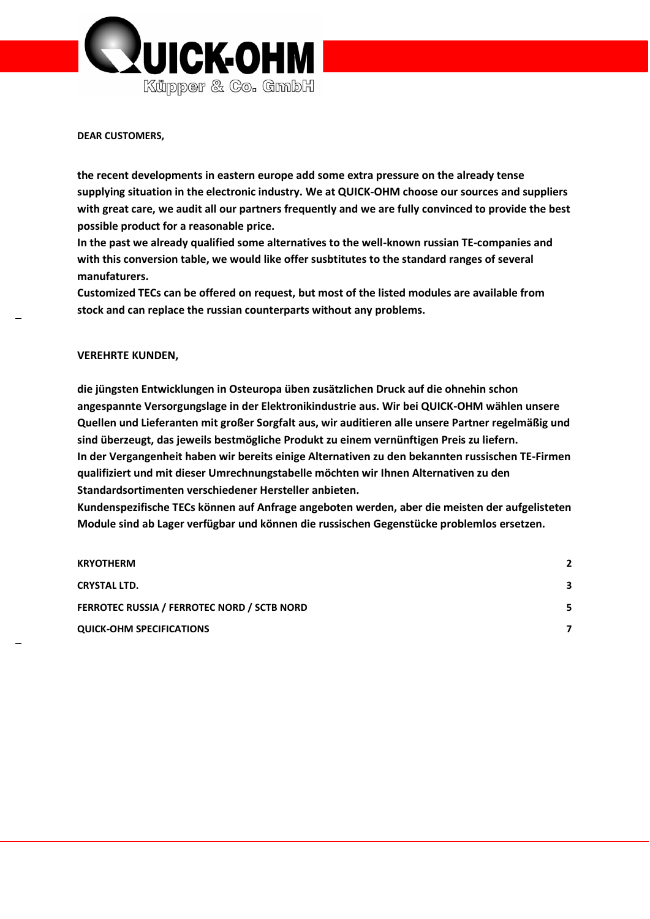

#### **DEAR CUSTOMERS,**

**the recent developments in eastern europe add some extra pressure on the already tense supplying situation in the electronic industry. We at QUICK-OHM choose our sources and suppliers with great care, we audit all our partners frequently and we are fully convinced to provide the best possible product for a reasonable price.** 

**In the past we already qualified some alternatives to the well-known russian TE-companies and with this conversion table, we would like offer susbtitutes to the standard ranges of several manufaturers.**

**Customized TECs can be offered on request, but most of the listed modules are available from stock and can replace the russian counterparts without any problems.** 

#### **VEREHRTE KUNDEN,**

**die jüngsten Entwicklungen in Osteuropa üben zusätzlichen Druck auf die ohnehin schon angespannte Versorgungslage in der Elektronikindustrie aus. Wir bei QUICK-OHM wählen unsere Quellen und Lieferanten mit großer Sorgfalt aus, wir auditieren alle unsere Partner regelmäßig und sind überzeugt, das jeweils bestmögliche Produkt zu einem vernünftigen Preis zu liefern. In der Vergangenheit haben wir bereits einige Alternativen zu den bekannten russischen TE-Firmen qualifiziert und mit dieser Umrechnungstabelle möchten wir Ihnen Alternativen zu den Standardsortimenten verschiedener Hersteller anbieten.**

**Kundenspezifische TECs können auf Anfrage angeboten werden, aber die meisten der aufgelisteten Module sind ab Lager verfügbar und können die russischen Gegenstücke problemlos ersetzen.** 

| <b>KRYOTHERM</b>                                   | 2 |
|----------------------------------------------------|---|
| <b>CRYSTAL LTD.</b>                                | 3 |
| <b>FERROTEC RUSSIA / FERROTEC NORD / SCTB NORD</b> | 5 |
| <b>QUICK-OHM SPECIFICATIONS</b>                    |   |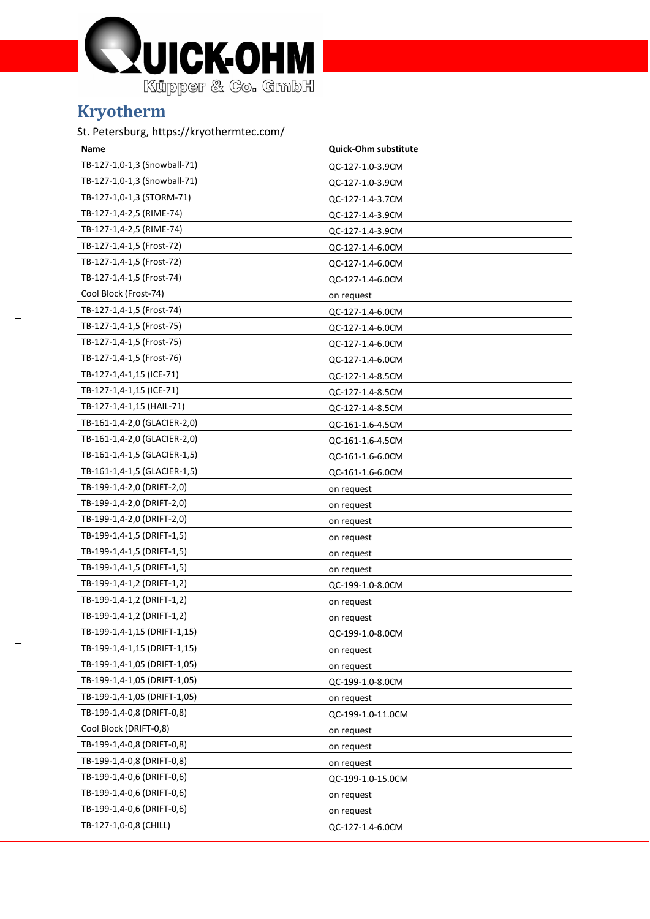

## **Kryotherm**

### St. Petersburg, https://kryothermtec.com/

| Name                         | Quick-Ohm substitute |
|------------------------------|----------------------|
| TB-127-1,0-1,3 (Snowball-71) | QC-127-1.0-3.9CM     |
| TB-127-1,0-1,3 (Snowball-71) | QC-127-1.0-3.9CM     |
| TB-127-1,0-1,3 (STORM-71)    | QC-127-1.4-3.7CM     |
| TB-127-1,4-2,5 (RIME-74)     | QC-127-1.4-3.9CM     |
| TB-127-1,4-2,5 (RIME-74)     | QC-127-1.4-3.9CM     |
| TB-127-1,4-1,5 (Frost-72)    | QC-127-1.4-6.0CM     |
| TB-127-1,4-1,5 (Frost-72)    | QC-127-1.4-6.0CM     |
| TB-127-1,4-1,5 (Frost-74)    | QC-127-1.4-6.0CM     |
| Cool Block (Frost-74)        | on request           |
| TB-127-1,4-1,5 (Frost-74)    | QC-127-1.4-6.0CM     |
| TB-127-1,4-1,5 (Frost-75)    | QC-127-1.4-6.0CM     |
| TB-127-1,4-1,5 (Frost-75)    | QC-127-1.4-6.0CM     |
| TB-127-1,4-1,5 (Frost-76)    | QC-127-1.4-6.0CM     |
| TB-127-1,4-1,15 (ICE-71)     | QC-127-1.4-8.5CM     |
| TB-127-1,4-1,15 (ICE-71)     | QC-127-1.4-8.5CM     |
| TB-127-1,4-1,15 (HAIL-71)    | QC-127-1.4-8.5CM     |
| TB-161-1,4-2,0 (GLACIER-2,0) | QC-161-1.6-4.5CM     |
| TB-161-1,4-2,0 (GLACIER-2,0) | QC-161-1.6-4.5CM     |
| TB-161-1,4-1,5 (GLACIER-1,5) | QC-161-1.6-6.0CM     |
| TB-161-1,4-1,5 (GLACIER-1,5) | QC-161-1.6-6.0CM     |
| TB-199-1,4-2,0 (DRIFT-2,0)   | on request           |
| TB-199-1,4-2,0 (DRIFT-2,0)   | on request           |
| TB-199-1,4-2,0 (DRIFT-2,0)   | on request           |
| TB-199-1,4-1,5 (DRIFT-1,5)   | on request           |
| TB-199-1,4-1,5 (DRIFT-1,5)   | on request           |
| TB-199-1,4-1,5 (DRIFT-1,5)   | on request           |
| TB-199-1,4-1,2 (DRIFT-1,2)   | QC-199-1.0-8.0CM     |
| TB-199-1,4-1,2 (DRIFT-1,2)   | on request           |
| TB-199-1,4-1,2 (DRIFT-1,2)   | on request           |
| TB-199-1,4-1,15 (DRIFT-1,15) | QC-199-1.0-8.0CM     |
| TB-199-1,4-1,15 (DRIFT-1,15) | on request           |
| TB-199-1,4-1,05 (DRIFT-1,05) | on request           |
| TB-199-1,4-1,05 (DRIFT-1,05) | QC-199-1.0-8.0CM     |
| TB-199-1,4-1,05 (DRIFT-1,05) | on request           |
| TB-199-1,4-0,8 (DRIFT-0,8)   | QC-199-1.0-11.0CM    |
| Cool Block (DRIFT-0,8)       | on request           |
| TB-199-1,4-0,8 (DRIFT-0,8)   | on request           |
| TB-199-1,4-0,8 (DRIFT-0,8)   | on request           |
| TB-199-1,4-0,6 (DRIFT-0,6)   | QC-199-1.0-15.0CM    |
| TB-199-1,4-0,6 (DRIFT-0,6)   | on request           |
| TB-199-1,4-0,6 (DRIFT-0,6)   | on request           |
| TB-127-1,0-0,8 (CHILL)       | QC-127-1.4-6.0CM     |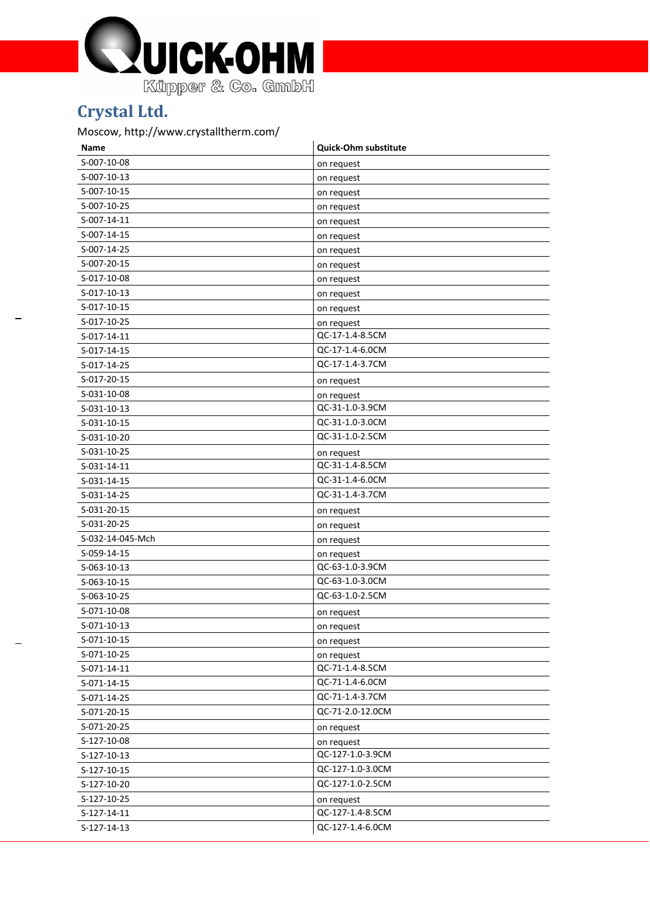

## **Crystal Ltd.**

### Moscow, http://www.crystalltherm.com/

| Name             | <b>Quick-Ohm substitute</b> |
|------------------|-----------------------------|
| S-007-10-08      | on request                  |
| S-007-10-13      | on request                  |
| S-007-10-15      | on request                  |
| S-007-10-25      | on request                  |
| S-007-14-11      | on request                  |
| S-007-14-15      | on request                  |
| S-007-14-25      | on request                  |
| S-007-20-15      | on request                  |
| S-017-10-08      | on request                  |
| S-017-10-13      | on request                  |
| S-017-10-15      | on request                  |
| S-017-10-25      | on request                  |
| S-017-14-11      | QC-17-1.4-8.5CM             |
| S-017-14-15      | QC-17-1.4-6.0CM             |
| S-017-14-25      | QC-17-1.4-3.7CM             |
| S-017-20-15      | on request                  |
| S-031-10-08      | on request                  |
| S-031-10-13      | QC-31-1.0-3.9CM             |
| S-031-10-15      | QC-31-1.0-3.0CM             |
| S-031-10-20      | QC-31-1.0-2.5CM             |
| S-031-10-25      | on request                  |
| S-031-14-11      | QC-31-1.4-8.5CM             |
| S-031-14-15      | QC-31-1.4-6.0CM             |
| S-031-14-25      | QC-31-1.4-3.7CM             |
| S-031-20-15      | on request                  |
| S-031-20-25      | on request                  |
| S-032-14-045-Mch | on request                  |
| S-059-14-15      | on request                  |
| S-063-10-13      | QC-63-1.0-3.9CM             |
| S-063-10-15      | QC-63-1.0-3.0CM             |
| S-063-10-25      | QC-63-1.0-2.5CM             |
| S-071-10-08      | on request                  |
| S-071-10-13      | on request                  |
| S-071-10-15      | on request                  |
| S-071-10-25      | on request                  |
| S-071-14-11      | QC-71-1.4-8.5CM             |
| S-071-14-15      | QC-71-1.4-6.0CM             |
| S-071-14-25      | QC-71-1.4-3.7CM             |
| S-071-20-15      | QC-71-2.0-12.0CM            |
| S-071-20-25      | on request                  |
| S-127-10-08      | on request                  |
| S-127-10-13      | QC-127-1.0-3.9CM            |
| S-127-10-15      | QC-127-1.0-3.0CM            |
| S-127-10-20      | QC-127-1.0-2.5CM            |
| S-127-10-25      | on request                  |
| S-127-14-11      | QC-127-1.4-8.5CM            |
| S-127-14-13      | QC-127-1.4-6.0CM            |
|                  |                             |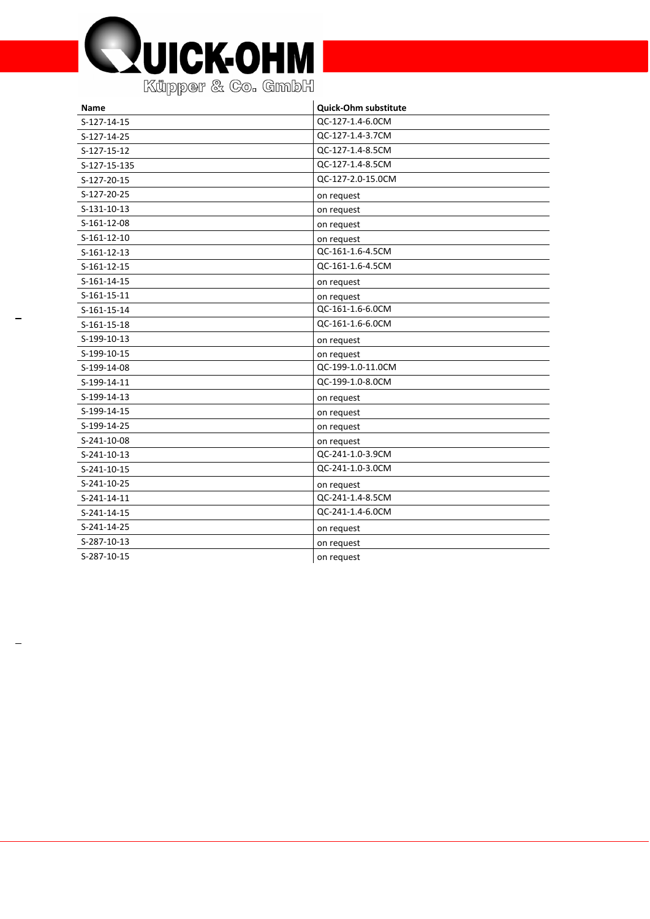

| Name          | <b>Quick-Ohm substitute</b> |
|---------------|-----------------------------|
| S-127-14-15   | QC-127-1.4-6.0CM            |
| S-127-14-25   | QC-127-1.4-3.7CM            |
| S-127-15-12   | QC-127-1.4-8.5CM            |
| S-127-15-135  | QC-127-1.4-8.5CM            |
| S-127-20-15   | QC-127-2.0-15.0CM           |
| S-127-20-25   | on request                  |
| S-131-10-13   | on request                  |
| S-161-12-08   | on request                  |
| S-161-12-10   | on request                  |
| $S-161-12-13$ | QC-161-1.6-4.5CM            |
| S-161-12-15   | QC-161-1.6-4.5CM            |
| S-161-14-15   | on request                  |
| S-161-15-11   | on request                  |
| S-161-15-14   | QC-161-1.6-6.0CM            |
| S-161-15-18   | QC-161-1.6-6.0CM            |
| S-199-10-13   | on request                  |
| S-199-10-15   | on request                  |
| S-199-14-08   | QC-199-1.0-11.0CM           |
| S-199-14-11   | QC-199-1.0-8.0CM            |
| S-199-14-13   | on request                  |
| S-199-14-15   | on request                  |
| S-199-14-25   | on request                  |
| S-241-10-08   | on request                  |
| S-241-10-13   | QC-241-1.0-3.9CM            |
| S-241-10-15   | QC-241-1.0-3.0CM            |
| S-241-10-25   | on request                  |
| $S-241-14-11$ | QC-241-1.4-8.5CM            |
| S-241-14-15   | QC-241-1.4-6.0CM            |
| S-241-14-25   | on request                  |
| S-287-10-13   | on request                  |
| S-287-10-15   | on request                  |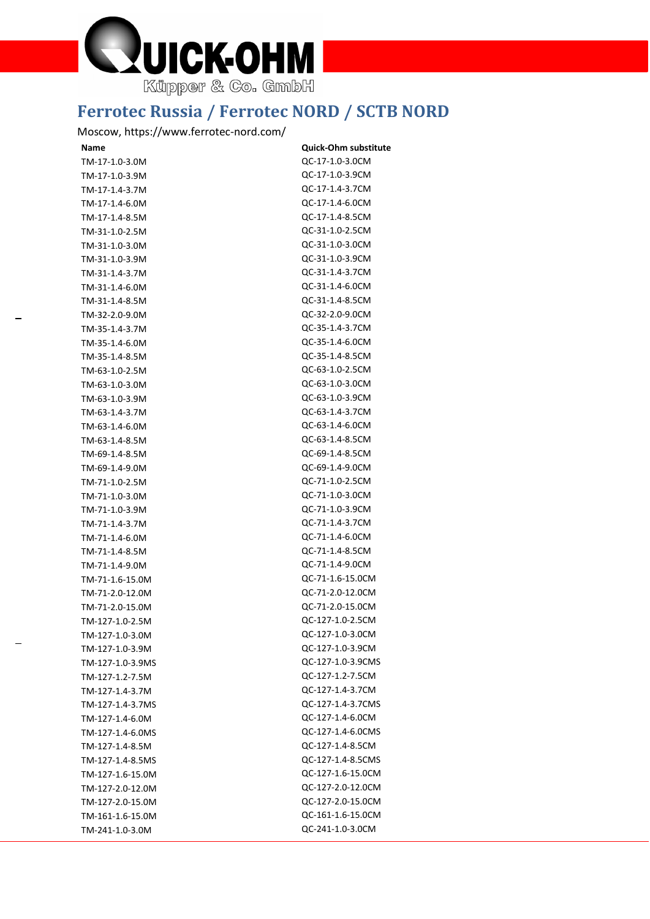

## **Ferrotec Russia / Ferrotec NORD / SCTB NORD**

### Moscow, https://www.ferrotec-nord.com/

| Name             | <b>Quick-Ohm substitute</b> |
|------------------|-----------------------------|
| TM-17-1.0-3.0M   | QC-17-1.0-3.0CM             |
| TM-17-1.0-3.9M   | QC-17-1.0-3.9CM             |
| TM-17-1.4-3.7M   | QC-17-1.4-3.7CM             |
| TM-17-1.4-6.0M   | QC-17-1.4-6.0CM             |
| TM-17-1.4-8.5M   | QC-17-1.4-8.5CM             |
| TM-31-1.0-2.5M   | QC-31-1.0-2.5CM             |
| TM-31-1.0-3.0M   | QC-31-1.0-3.0CM             |
| TM-31-1.0-3.9M   | QC-31-1.0-3.9CM             |
| TM-31-1.4-3.7M   | QC-31-1.4-3.7CM             |
| TM-31-1.4-6.0M   | QC-31-1.4-6.0CM             |
| TM-31-1.4-8.5M   | QC-31-1.4-8.5CM             |
| TM-32-2.0-9.0M   | QC-32-2.0-9.0CM             |
| TM-35-1.4-3.7M   | QC-35-1.4-3.7CM             |
| TM-35-1.4-6.0M   | QC-35-1.4-6.0CM             |
| TM-35-1.4-8.5M   | QC-35-1.4-8.5CM             |
| TM-63-1.0-2.5M   | QC-63-1.0-2.5CM             |
| TM-63-1.0-3.0M   | QC-63-1.0-3.0CM             |
| TM-63-1.0-3.9M   | QC-63-1.0-3.9CM             |
| TM-63-1.4-3.7M   | QC-63-1.4-3.7CM             |
| TM-63-1.4-6.0M   | QC-63-1.4-6.0CM             |
| TM-63-1.4-8.5M   | QC-63-1.4-8.5CM             |
| TM-69-1.4-8.5M   | QC-69-1.4-8.5CM             |
| TM-69-1.4-9.0M   | QC-69-1.4-9.0CM             |
| TM-71-1.0-2.5M   | QC-71-1.0-2.5CM             |
| TM-71-1.0-3.0M   | QC-71-1.0-3.0CM             |
| TM-71-1.0-3.9M   | QC-71-1.0-3.9CM             |
| TM-71-1.4-3.7M   | QC-71-1.4-3.7CM             |
| TM-71-1.4-6.0M   | QC-71-1.4-6.0CM             |
| TM-71-1.4-8.5M   | QC-71-1.4-8.5CM             |
| TM-71-1.4-9.0M   | QC-71-1.4-9.0CM             |
| TM-71-1.6-15.0M  | QC-71-1.6-15.0CM            |
| TM-71-2.0-12.0M  | QC-71-2.0-12.0CM            |
| TM-71-2.0-15.0M  | QC-71-2.0-15.0CM            |
| TM-127-1.0-2.5M  | QC-127-1.0-2.5CM            |
| TM-127-1.0-3.0M  | QC-127-1.0-3.0CM            |
| TM-127-1.0-3.9M  | QC-127-1.0-3.9CM            |
| TM-127-1.0-3.9MS | QC-127-1.0-3.9CMS           |
| TM-127-1.2-7.5M  | QC-127-1.2-7.5CM            |
| TM-127-1.4-3.7M  | QC-127-1.4-3.7CM            |
| TM-127-1.4-3.7MS | QC-127-1.4-3.7CMS           |
| TM-127-1.4-6.0M  | QC-127-1.4-6.0CM            |
| TM-127-1.4-6.0MS | QC-127-1.4-6.0CMS           |
| TM-127-1.4-8.5M  | QC-127-1.4-8.5CM            |
| TM-127-1.4-8.5MS | QC-127-1.4-8.5CMS           |
| TM-127-1.6-15.0M | QC-127-1.6-15.0CM           |
| TM-127-2.0-12.0M | QC-127-2.0-12.0CM           |
| TM-127-2.0-15.0M | QC-127-2.0-15.0CM           |
|                  | QC-161-1.6-15.0CM           |
| TM-161-1.6-15.0M | QC-241-1.0-3.0CM            |
| TM-241-1.0-3.0M  |                             |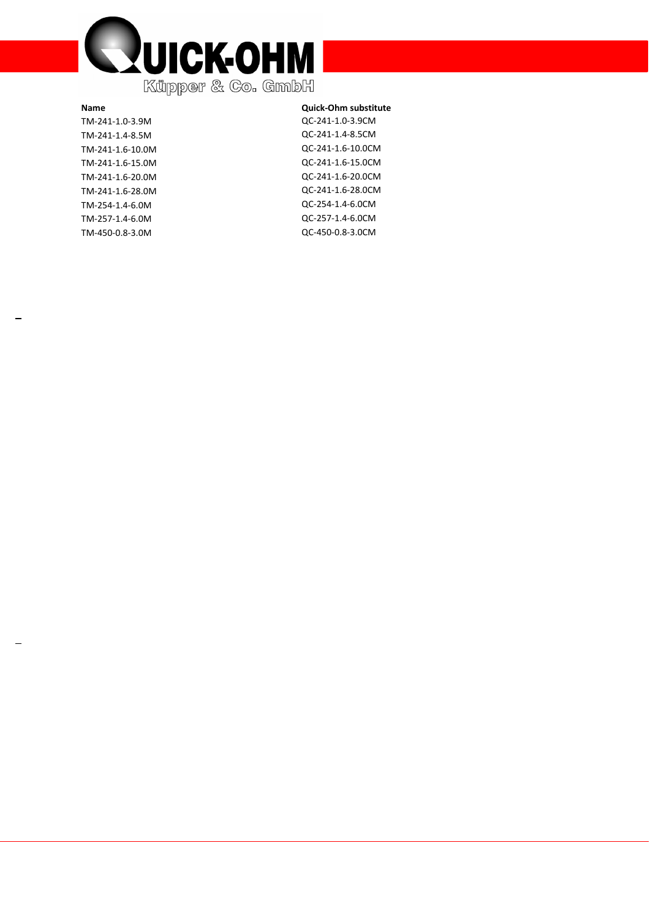

**Name Quick** TM -241 -1.0 -3.9M QC TM -241 -1.4 -8.5M QC TM -241 -1.6 -10.0M QC TM -241 -1.6 -15.0M QC TM -241 -1.6 -20.0M QC TM -241 -1.6 -28.0M QC TM -254 -1.4 -6.0M QC TM -257 -1.4 -6.0M QC TM -450 -0.8 -3.0M QC

#### **-Ohm substitute**

-241 -1.0 -3.9CM -241 -1.4 -8.5CM -241 -1.6 -10.0CM -241 -1.6 -15.0CM -241 -1.6 -20.0CM -241 -1.6 -28.0CM -254 -1.4 -6.0CM -257 -1.4 -6.0CM -450 -0.8 -3.0CM